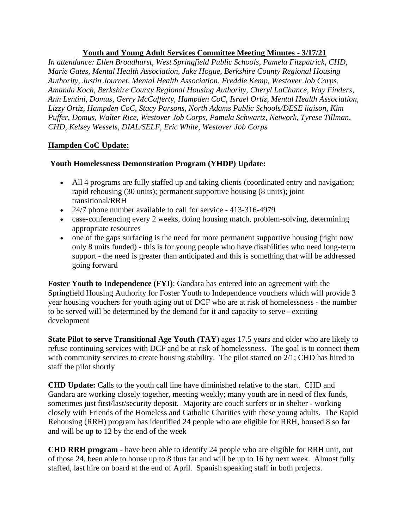## **Youth and Young Adult Services Committee Meeting Minutes - 3/17/21**

*In attendance: Ellen Broadhurst, West Springfield Public Schools, Pamela Fitzpatrick, CHD, Marie Gates, Mental Health Association, Jake Hogue, Berkshire County Regional Housing Authority, Justin Journet, Mental Health Association, Freddie Kemp, Westover Job Corps, Amanda Koch, Berkshire County Regional Housing Authority, Cheryl LaChance, Way Finders, Ann Lentini, Domus, Gerry McCafferty, Hampden CoC, Israel Ortiz, Mental Health Association, Lizzy Ortiz, Hampden CoC, Stacy Parsons, North Adams Public Schools/DESE liaison, Kim Puffer, Domus, Walter Rice, Westover Job Corps, Pamela Schwartz, Network, Tyrese Tillman, CHD, Kelsey Wessels, DIAL/SELF, Eric White, Westover Job Corps*

# **Hampden CoC Update:**

# **Youth Homelessness Demonstration Program (YHDP) Update:**

- All 4 programs are fully staffed up and taking clients (coordinated entry and navigation; rapid rehousing (30 units); permanent supportive housing (8 units); joint transitional/RRH
- 24/7 phone number available to call for service 413-316-4979
- case-conferencing every 2 weeks, doing housing match, problem-solving, determining appropriate resources
- one of the gaps surfacing is the need for more permanent supportive housing (right now only 8 units funded) - this is for young people who have disabilities who need long-term support - the need is greater than anticipated and this is something that will be addressed going forward

**Foster Youth to Independence (FYI)**: Gandara has entered into an agreement with the Springfield Housing Authority for Foster Youth to Independence vouchers which will provide 3 year housing vouchers for youth aging out of DCF who are at risk of homelessness - the number to be served will be determined by the demand for it and capacity to serve - exciting development

**State Pilot to serve Transitional Age Youth (TAY**) ages 17.5 years and older who are likely to refuse continuing services with DCF and be at risk of homelessness. The goal is to connect them with community services to create housing stability. The pilot started on 2/1; CHD has hired to staff the pilot shortly

**CHD Update:** Calls to the youth call line have diminished relative to the start. CHD and Gandara are working closely together, meeting weekly; many youth are in need of flex funds, sometimes just first/last/security deposit. Majority are couch surfers or in shelter - working closely with Friends of the Homeless and Catholic Charities with these young adults. The Rapid Rehousing (RRH) program has identified 24 people who are eligible for RRH, housed 8 so far and will be up to 12 by the end of the week

**CHD RRH program** - have been able to identify 24 people who are eligible for RRH unit, out of those 24, been able to house up to 8 thus far and will be up to 16 by next week. Almost fully staffed, last hire on board at the end of April. Spanish speaking staff in both projects.